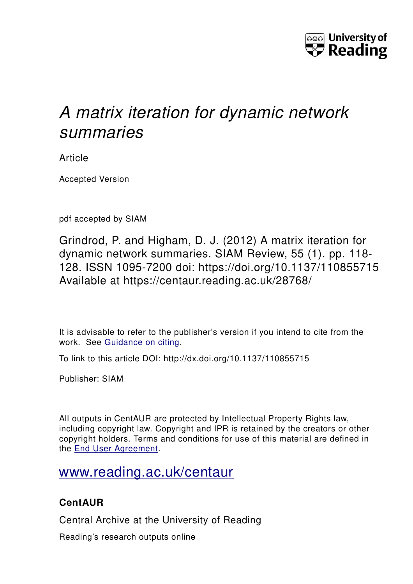

# *A matrix iteration for dynamic network summaries*

Article

Accepted Version

pdf accepted by SIAM

Grindrod, P. and Higham, D. J. (2012) A matrix iteration for dynamic network summaries. SIAM Review, 55 (1). pp. 118- 128. ISSN 1095-7200 doi: https://doi.org/10.1137/110855715 Available at https://centaur.reading.ac.uk/28768/

It is advisable to refer to the publisher's version if you intend to cite from the work. See [Guidance on citing.](http://centaur.reading.ac.uk/71187/10/CentAUR%20citing%20guide.pdf)

To link to this article DOI: http://dx.doi.org/10.1137/110855715

Publisher: SIAM

All outputs in CentAUR are protected by Intellectual Property Rights law, including copyright law. Copyright and IPR is retained by the creators or other copyright holders. Terms and conditions for use of this material are defined in the [End User Agreement.](http://centaur.reading.ac.uk/licence)

## [www.reading.ac.uk/centaur](http://www.reading.ac.uk/centaur)

### **CentAUR**

Central Archive at the University of Reading

Reading's research outputs online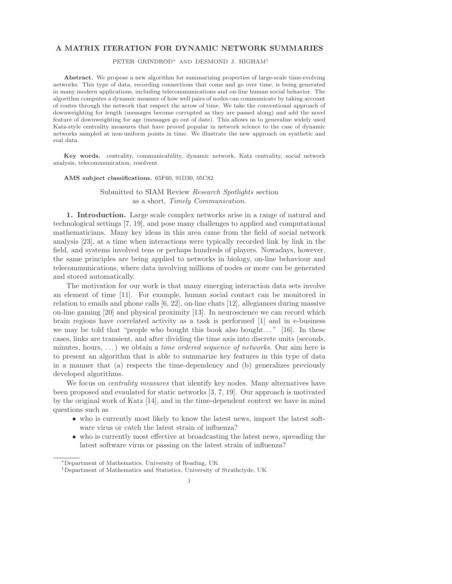#### A MATRIX ITERATION FOR DYNAMIC NETWORK SUMMARIES

#### PETER GRINDROD<sup>∗</sup> AND DESMOND J. HIGHAM†

Abstract. We propose a new algorithm for summarizing properties of large-scale time-evolving networks. This type of data, recording connections that come and go over time, is being generated in many modern applications, including telecommunications and on-line human social behavior. The algorithm computes a dynamic measure of how well pairs of nodes can communicate by taking account of routes through the network that respect the arrow of time. We take the conventional approach of downweighting for length (messages become corrupted as they are passed along) and add the novel feature of downweighting for age (messages go out of date). This allows us to generalize widely used Katz-style centrality measures that have proved popular in network science to the case of dynamic networks sampled at non-uniform points in time. We illustrate the new approach on synthetic and real data.

Key words. centrality, communicability, dynamic network, Katz centrality, social network analysis, telecommunication, resolvent

#### AMS subject classifications. 65F60, 91D30, 05C82

#### Submitted to SIAM Review Research Spotlights section as a short, Timely Communication.

1. Introduction. Large scale complex networks arise in a range of natural and technological settings [7, 19], and pose many challenges to applied and computational mathematicians. Many key ideas in this area came from the field of social network analysis [23], at a time when interactions were typically recorded link by link in the field, and systems involved tens or perhaps hundreds of players. Nowadays, however, the same principles are being applied to networks in biology, on-line behaviour and telecommunications, where data involving millions of nodes or more can be generated and stored automatically.

The motivation for our work is that many emerging interaction data sets involve an element of time [11]. For example, human social contact can be monitored in relation to emails and phone calls [6, 22], on-line chats [12], allegiances during massive on-line gaming [20] and physical proximity [13]. In neuroscience we can record which brain regions have correlated activity as a task is performed [1] and in e-business we may be told that "people who bought this book also bought..." [16]. In these cases, links are transient, and after dividing the time axis into discrete units (seconds, minutes, hours,  $\dots$ ) we obtain a *time ordered sequence of networks*. Our aim here is to present an algorithm that is able to summarize key features in this type of data in a manner that (a) respects the time-dependency and (b) generalizes previously developed algorithms.

We focus on *centrality measures* that identify key nodes. Many alternatives have been proposed and evaulated for static networks [3, 7, 19]. Our approach is motivated by the original work of Katz [14], and in the time-dependent context we have in mind questions such as

- who is currently most likely to know the latest news, import the latest software virus or catch the latest strain of influenza?
- who is currently most effective at broadcasting the latest news, spreading the latest software virus or passing on the latest strain of influenza?

<sup>∗</sup>Department of Mathematics, University of Reading, UK

<sup>†</sup>Department of Mathematics and Statistics, University of Strathclyde, UK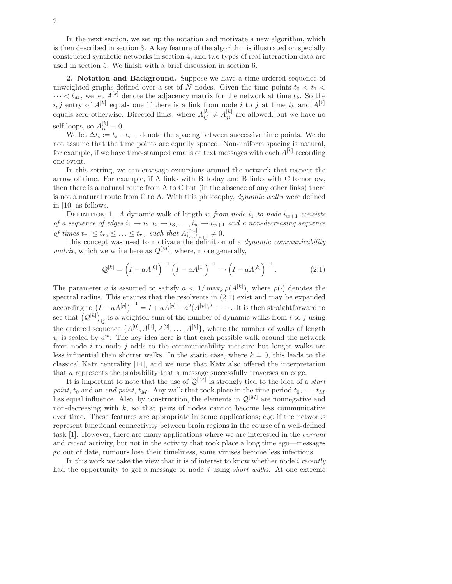In the next section, we set up the notation and motivate a new algorithm, which is then described in section 3. A key feature of the algorithm is illustrated on specially constructed synthetic networks in section 4, and two types of real interaction data are used in section 5. We finish with a brief discussion in section 6.

2. Notation and Background. Suppose we have a time-ordered sequence of unweighted graphs defined over a set of N nodes. Given the time points  $t_0 < t_1$  $\cdots < t_M$ , we let  $A^{[k]}$  denote the adjacency matrix for the network at time  $t_k$ . So the *i, j* entry of  $A^{[k]}$  equals one if there is a link from node *i* to *j* at time  $t_k$  and  $A^{[k]}$ equals zero otherwise. Directed links, where  $A_{ij}^{[k]} \neq A_{ji}^{[k]}$  are allowed, but we have no self loops, so  $A_{ii}^{[k]} \equiv 0$ .

We let  $\Delta t_i := t_i - t_{i-1}$  denote the spacing between successive time points. We do not assume that the time points are equally spaced. Non-uniform spacing is natural, for example, if we have time-stamped emails or text messages with each  $A^{[k]}$  recording one event.

In this setting, we can envisage excursions around the network that respect the arrow of time. For example, if A links with B today and B links with C tomorrow, then there is a natural route from A to C but (in the absence of any other links) there is not a natural route from C to A. With this philosophy, dynamic walks were defined in [10] as follows.

DEFINITION 1. A dynamic walk of length w from node  $i_1$  to node  $i_{w+1}$  consists of a sequence of edges  $i_1 \rightarrow i_2, i_2 \rightarrow i_3, \ldots, i_w \rightarrow i_{w+1}$  and a non-decreasing sequence of times  $t_{r_1} \leq t_{r_2} \leq \ldots \leq t_{r_w}$  such that  $A_{i_m,i}^{[r_m]}$  $\frac{[r_m]}{i_m,i_{m+1}}\neq 0.$ 

This concept was used to motivate the definition of a *dynamic communicability matrix*, which we write here as  $\mathcal{Q}^{[M]}$ , where, more generally,

$$
\mathcal{Q}^{[k]} = \left(I - aA^{[0]}\right)^{-1} \left(I - aA^{[1]}\right)^{-1} \cdots \left(I - aA^{[k]}\right)^{-1}.
$$
 (2.1)

The parameter a is assumed to satisfy  $a < 1/\max_k \rho(A^{[k]})$ , where  $\rho(\cdot)$  denotes the spectral radius. This ensures that the resolvents in (2.1) exist and may be expanded  $\arccos \left(I - aA^{[p]}\right)^{-1} = I + aA^{[p]} + a^2(A^{[p]})^2 + \cdots$  It is then straightforward to see that  $(Q^{[k]})_{ij}$  is a weighted sum of the number of dynamic walks from i to j using the ordered sequence  $\{A^{[0]}, A^{[1]}, A^{[2]}, \ldots, A^{[k]}\},$  where the number of walks of length  $w$  is scaled by  $a^w$ . The key idea here is that each possible walk around the network from node  $i$  to node  $j$  adds to the communicability measure but longer walks are less influential than shorter walks. In the static case, where  $k = 0$ , this leads to the classical Katz centrality [14], and we note that Katz also offered the interpretation that a represents the probability that a message successfully traverses an edge.

It is important to note that the use of  $\mathcal{Q}^{[M]}$  is strongly tied to the idea of a *start* point,  $t_0$  and an end point,  $t_M$ . Any walk that took place in the time period  $t_0, \ldots, t_M$ has equal influence. Also, by construction, the elements in  $\mathcal{Q}^{[M]}$  are nonnegative and non-decreasing with  $k$ , so that pairs of nodes cannot become less communicative over time. These features are appropriate in some applications; e.g. if the networks represent functional connectivity between brain regions in the course of a well-defined task [1]. However, there are many applications where we are interested in the current and recent activity, but not in the activity that took place a long time ago—messages go out of date, rumours lose their timeliness, some viruses become less infectious.

In this work we take the view that it is of interest to know whether node  $i$  recently had the opportunity to get a message to node j using *short walks*. At one extreme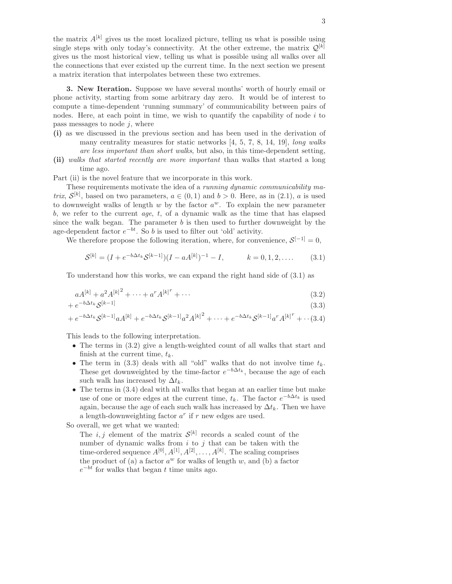the matrix  $A^{[k]}$  gives us the most localized picture, telling us what is possible using single steps with only today's connectivity. At the other extreme, the matrix  $\mathcal{Q}^{[k]}$ gives us the most historical view, telling us what is possible using all walks over all the connections that ever existed up the current time. In the next section we present a matrix iteration that interpolates between these two extremes.

3. New Iteration. Suppose we have several months' worth of hourly email or phone activity, starting from some arbitrary day zero. It would be of interest to compute a time-dependent 'running summary' of communicability between pairs of nodes. Here, at each point in time, we wish to quantify the capability of node  $i$  to pass messages to node  $j$ , where

- (i) as we discussed in the previous section and has been used in the derivation of many centrality measures for static networks [4, 5, 7, 8, 14, 19], long walks are less important than short walks, but also, in this time-dependent setting,
- (ii) walks that started recently are more important than walks that started a long time ago.

Part (ii) is the novel feature that we incorporate in this work.

These requirements motivate the idea of a running dynamic communicability matrix,  $\mathcal{S}^{[k]}$ , based on two parameters,  $a \in (0,1)$  and  $b > 0$ . Here, as in  $(2.1)$ , a is used to downweight walks of length  $w$  by the factor  $a^w$ . To explain the new parameter b, we refer to the current  $age, t, of a dynamic walk as the time that has elapsed$ since the walk began. The parameter  $b$  is then used to further downweight by the age-dependent factor  $e^{-bt}$ . So b is used to filter out 'old' activity.

We therefore propose the following iteration, where, for convenience,  $S^{[-1]} = 0$ ,

$$
S^{[k]} = (I + e^{-b\Delta t_k} S^{[k-1]})(I - aA^{[k]})^{-1} - I, \qquad k = 0, 1, 2, .... \qquad (3.1)
$$

To understand how this works, we can expand the right hand side of (3.1) as

$$
aA^{[k]} + a^2 A^{[k]}^2 + \dots + a^r A^{[k]}^r + \dots \tag{3.2}
$$

$$
+e^{-b\Delta t_k} \mathcal{S}^{[k-1]} \tag{3.3}
$$

$$
+e^{-b\Delta t_k}S^{[k-1]}aA^{[k]}+e^{-b\Delta t_k}S^{[k-1]}a^2A^{[k]^2}+\cdots+e^{-b\Delta t_k}S^{[k-1]}a^rA^{[k]^r}+\cdots
$$
 (3.4)

This leads to the following interpretation.

- The terms in (3.2) give a length-weighted count of all walks that start and finish at the current time,  $t_k$ .
- The term in (3.3) deals with all "old" walks that do not involve time  $t_k$ . These get downweighted by the time-factor  $e^{-b\Delta t_k}$ , because the age of each such walk has increased by  $\Delta t_k$ .
- The terms in (3.4) deal with all walks that began at an earlier time but make use of one or more edges at the current time,  $t_k$ . The factor  $e^{-b\Delta t_k}$  is used again, because the age of each such walk has increased by  $\Delta t_k$ . Then we have a length-downweighting factor  $a^r$  if  $r$  new edges are used.

So overall, we get what we wanted:

The  $i, j$  element of the matrix  $\mathcal{S}^{[k]}$  records a scaled count of the number of dynamic walks from  $i$  to  $j$  that can be taken with the time-ordered sequence  $A^{[0]}, A^{[1]}, A^{[2]}, \ldots, A^{[k]}$ . The scaling comprises the product of (a) a factor  $a^w$  for walks of length  $w$ , and (b) a factor  $e^{-bt}$  for walks that began t time units ago.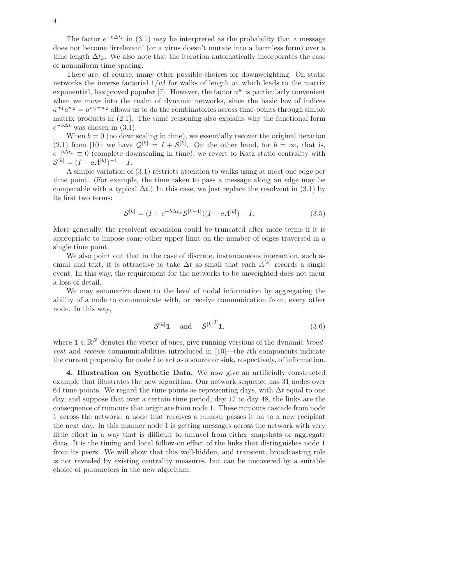The factor  $e^{-b\Delta t_k}$  in (3.1) may be interpreted as the probability that a message does not become 'irrelevant' (or a virus doesn't mutate into a harmless form) over a time length  $\Delta t_k$ . We also note that the iteration automatically incorporates the case of nonuniform time spacing.

There are, of course, many other possible choices for downweighting. On static networks the inverse factorial  $1/w!$  for walks of length w, which leads to the matrix exponential, has proved popular [7]. However, the factor  $a^w$  is particularly convenient when we move into the realm of dynamic networks, since the basic law of indices  $a^{w_1}a^{w_2} = a^{w_1+w_2}$  allows us to do the combinatorics across time-points through simple matrix products in  $(2.1)$ . The same reasoning also explains why the functional form  $e^{-b\Delta t}$  was chosen in (3.1).

When  $b = 0$  (no downscaling in time), we essentially recover the original iteration (2.1) from [10]; we have  $\mathcal{Q}^{[k]} = I + \mathcal{S}^{[k]}$ . On the other hand, for  $b = \infty$ , that is,  $e^{-b\Delta t_k} \equiv 0$  (complete downscaling in time), we revert to Katz static centrality with  $S^{[k]} = (I - \hat{a}A^{[k]})^{-1} - I.$ 

A simple variation of (3.1) restricts attention to walks using at most one edge per time point. (For example, the time taken to pass a message along an edge may be comparable with a typical  $\Delta t$ .) In this case, we just replace the resolvent in (3.1) by its first two terms:

$$
S^{[k]} = (I + e^{-b\Delta t_k} S^{[k-1]})(I + aA^{[k]}) - I.
$$
\n(3.5)

More generally, the resolvent expansion could be truncated after more terms if it is appropriate to impose some other upper limit on the number of edges traversed in a single time point.

We also point out that in the case of discrete, instantaneous interaction, such as email and text, it is attractive to take  $\Delta t$  so small that each  $A^{[k]}$  records a single event. In this way, the requirement for the networks to be unweighted does not incur a loss of detail.

We may summarize down to the level of nodal information by aggregating the ability of a node to communicate with, or receive communication from, every other node. In this way,

$$
\mathcal{S}^{[k]}\mathbf{1} \quad \text{and} \quad {\mathcal{S}^{[k]}}^T\mathbf{1},\tag{3.6}
$$

where  $\mathbf{1} \in \mathbb{R}^N$  denotes the vector of ones, give running versions of the dynamic *broad*cast and receive communicabilities introduced in [10]—the ith components indicate the current propensity for node  $i$  to act as a source or sink, respectively, of information.

4. Illustration on Synthetic Data. We now give an artificially constructed example that illustrates the new algorithm. Our network sequence has 31 nodes over 64 time points. We regard the time points as representing days, with  $\Delta t$  equal to one day, and suppose that over a certain time period, day 17 to day 48, the links are the consequence of rumours that originate from node 1. These rumours cascade from node 1 across the network: a node that receives a rumour passes it on to a new recipient the next day. In this manner node 1 is getting messages across the network with very little effort in a way that is difficult to unravel from either snapshots or aggregate data. It is the timing and local follow-on effect of the links that distinguishes node 1 from its peers. We will show that this well-hidden, and transient, broadcasting role is not revealed by existing centrality measures, but can be uncovered by a suitable choice of parameters in the new algorithm.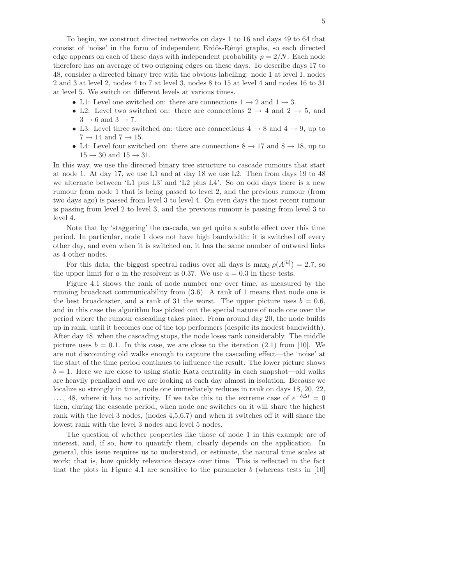To begin, we construct directed networks on days 1 to 16 and days 49 to 64 that consist of 'noise' in the form of independent Erdös-Rényi graphs, so each directed edge appears on each of these days with independent probability  $p = 2/N$ . Each node therefore has an average of two outgoing edges on these days. To describe days 17 to 48, consider a directed binary tree with the obvious labelling: node 1 at level 1, nodes 2 and 3 at level 2, nodes 4 to 7 at level 3, nodes 8 to 15 at level 4 and nodes 16 to 31 at level 5. We switch on different levels at various times.

- L1: Level one switched on: there are connections  $1 \rightarrow 2$  and  $1 \rightarrow 3$ .
- L2: Level two switched on: there are connections  $2 \rightarrow 4$  and  $2 \rightarrow 5$ , and  $3 \rightarrow 6$  and  $3 \rightarrow 7$ .
- L3: Level three switched on: there are connections  $4 \rightarrow 8$  and  $4 \rightarrow 9$ , up to  $7 \rightarrow 14$  and  $7 \rightarrow 15$ .
- L4: Level four switched on: there are connections  $8 \rightarrow 17$  and  $8 \rightarrow 18$ , up to  $15 \rightarrow 30$  and  $15 \rightarrow 31$ .

In this way, we use the directed binary tree structure to cascade rumours that start at node 1. At day 17, we use L1 and at day 18 we use L2. Then from days 19 to 48 we alternate between 'L1 pus L3' and 'L2 plus L4'. So on odd days there is a new rumour from node 1 that is being passed to level 2, and the previous rumour (from two days ago) is passed from level 3 to level 4. On even days the most recent rumour is passing from level 2 to level 3, and the previous rumour is passing from level 3 to level 4.

Note that by 'staggering' the cascade, we get quite a subtle effect over this time period. In particular, node 1 does not have high bandwidth: it is switched off every other day, and even when it is switched on, it has the same number of outward links as 4 other nodes.

For this data, the biggest spectral radius over all days is  $\max_k \rho(A^{[k]}) = 2.7$ , so the upper limit for a in the resolvent is 0.37. We use  $a = 0.3$  in these tests.

Figure 4.1 shows the rank of node number one over time, as measured by the running broadcast communicability from (3.6). A rank of 1 means that node one is the best broadcaster, and a rank of 31 the worst. The upper picture uses  $b = 0.6$ , and in this case the algorithm has picked out the special nature of node one over the period where the rumour cascading takes place. From around day 20, the node builds up in rank, until it becomes one of the top performers (despite its modest bandwidth). After day 48, when the cascading stops, the node loses rank considerably. The middle picture uses  $b = 0.1$ . In this case, we are close to the iteration (2.1) from [10]. We are not discounting old walks enough to capture the cascading effect—the 'noise' at the start of the time period continues to influence the result. The lower picture shows  $b = 1$ . Here we are close to using static Katz centrality in each snapshot—old walks are heavily penalized and we are looking at each day almost in isolation. Because we localize so strongly in time, node one immediately reduces in rank on days 18, 20, 22, ..., 48, where it has no activity. If we take this to the extreme case of  $e^{-b\Delta t} = 0$ then, during the cascade period, when node one switches on it will share the highest rank with the level 3 nodes, (nodes 4,5,6,7) and when it switches off it will share the lowest rank with the level 3 nodes and level 5 nodes.

The question of whether properties like those of node 1 in this example are of interest, and, if so, how to quantify them, clearly depends on the application. In general, this issue requires us to understand, or estimate, the natural time scales at work; that is, how quickly relevance decays over time. This is reflected in the fact that the plots in Figure 4.1 are sensitive to the parameter  $b$  (whereas tests in [10]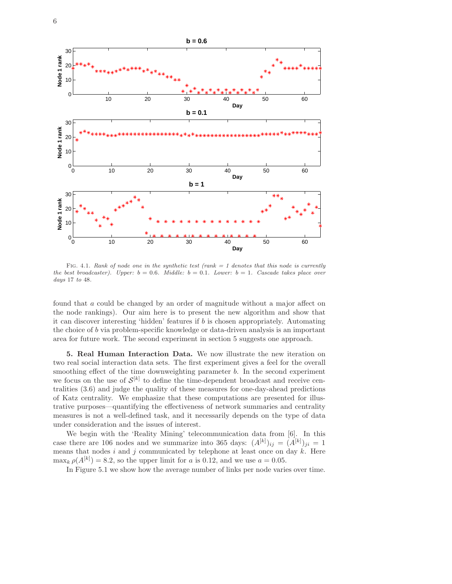

Fig. 4.1. *Rank of node one in the synthetic test (rank = 1 denotes that this node is currently the best broadcaster). Upper:*  $b = 0.6$ *. Middle:*  $b = 0.1$ *. Lower:*  $b = 1$ *. Cascade takes place over days* 17 *to* 48*.*

found that a could be changed by an order of magnitude without a major affect on the node rankings). Our aim here is to present the new algorithm and show that it can discover interesting 'hidden' features if b is chosen appropriately. Automating the choice of b via problem-specific knowledge or data-driven analysis is an important area for future work. The second experiment in section 5 suggests one approach.

5. Real Human Interaction Data. We now illustrate the new iteration on two real social interaction data sets. The first experiment gives a feel for the overall smoothing effect of the time downweighting parameter  $b$ . In the second experiment we focus on the use of  $\mathcal{S}^{[k]}$  to define the time-dependent broadcast and receive centralities (3.6) and judge the quality of these measures for one-day-ahead predictions of Katz centrality. We emphasize that these computations are presented for illustrative purposes—quantifying the effectiveness of network summaries and centrality measures is not a well-defined task, and it necessarily depends on the type of data under consideration and the issues of interest.

We begin with the 'Reality Mining' telecommunication data from [6]. In this case there are 106 nodes and we summarize into 365 days:  $(A^{[k]})_{ij} = (A^{[k]})_{ji} = 1$ means that nodes  $i$  and  $j$  communicated by telephone at least once on day  $k$ . Here  $\max_k \rho(A^{[k]}) = 8.2$ , so the upper limit for a is 0.12, and we use  $a = 0.05$ .

In Figure 5.1 we show how the average number of links per node varies over time.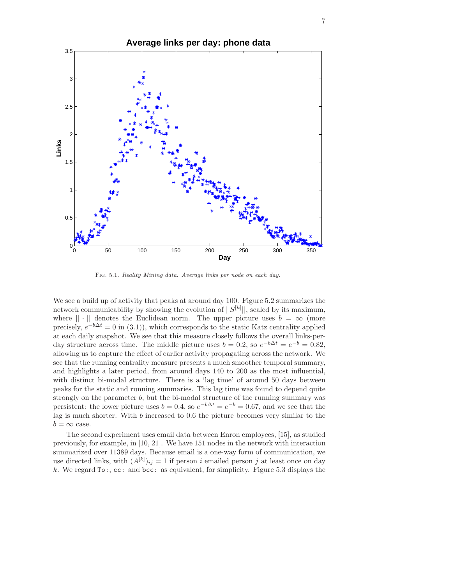

Fig. 5.1. *Reality Mining data. Average links per node on each day.*

We see a build up of activity that peaks at around day 100. Figure 5.2 summarizes the network communicability by showing the evolution of  $||S^{[k]}||$ , scaled by its maximum, where  $|| \cdot ||$  denotes the Euclidean norm. The upper picture uses  $b = \infty$  (more precisely,  $e^{-b\Delta t} = 0$  in (3.1)), which corresponds to the static Katz centrality applied at each daily snapshot. We see that this measure closely follows the overall links-perday structure across time. The middle picture uses  $b = 0.2$ , so  $e^{-b\Delta t} = e^{-b} = 0.82$ , allowing us to capture the effect of earlier activity propagating across the network. We see that the running centrality measure presents a much smoother temporal summary, and highlights a later period, from around days 140 to 200 as the most influential, with distinct bi-modal structure. There is a 'lag time' of around 50 days between peaks for the static and running summaries. This lag time was found to depend quite strongly on the parameter b, but the bi-modal structure of the running summary was persistent: the lower picture uses  $b = 0.4$ , so  $e^{-b\Delta t} = e^{-b} = 0.67$ , and we see that the lag is much shorter. With b increased to 0.6 the picture becomes very similar to the  $b = \infty$  case.

The second experiment uses email data between Enron employees, [15], as studied previously, for example, in [10, 21]. We have 151 nodes in the network with interaction summarized over 11389 days. Because email is a one-way form of communication, we use directed links, with  $(A^{[k]})_{ij} = 1$  if person i emailed person j at least once on day k. We regard  $\texttt{To:}, \texttt{cc:}$  and  $\texttt{bcc:}$  as equivalent, for simplicity. Figure 5.3 displays the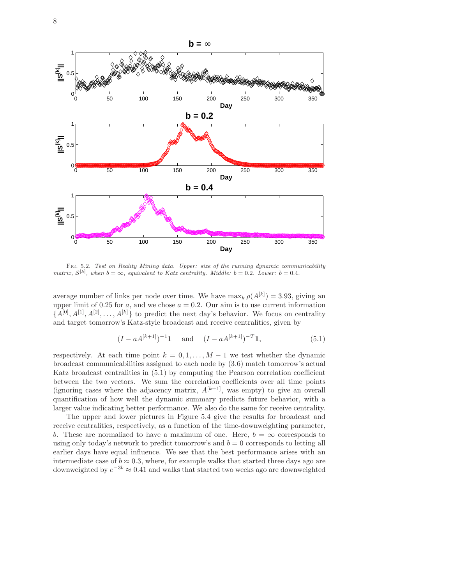

Fig. 5.2. *Test on Reality Mining data. Upper: size of the running dynamic communicability matrix,*  $S^{[k]}$ , when  $b = \infty$ , equivalent to Katz centrality. Middle:  $b = 0.2$ *. Lower:*  $b = 0.4$ *.* 

average number of links per node over time. We have  $\max_k \rho(A^{[k]}) = 3.93$ , giving an upper limit of 0.25 for a, and we chose  $a = 0.2$ . Our aim is to use current information  ${A}^{[0]}, A^{[1]}, A^{[2]}, \ldots, A^{[k]}$  to predict the next day's behavior. We focus on centrality and target tomorrow's Katz-style broadcast and receive centralities, given by

$$
(I - aA^{[k+1]})^{-1}
$$
**1** and  $(I - aA^{[k+1]})^{-T}$ **1**, (5.1)

respectively. At each time point  $k = 0, 1, ..., M - 1$  we test whether the dynamic broadcast communicabilities assigned to each node by (3.6) match tomorrow's actual Katz broadcast centralities in (5.1) by computing the Pearson correlation coefficient between the two vectors. We sum the correlation coefficients over all time points (ignoring cases where the adjacency matrix,  $A^{[k+1]}$ , was empty) to give an overall quantification of how well the dynamic summary predicts future behavior, with a larger value indicating better performance. We also do the same for receive centrality.

The upper and lower pictures in Figure 5.4 give the results for broadcast and receive centralities, respectively, as a function of the time-downweighting parameter, b. These are normalized to have a maximum of one. Here,  $b = \infty$  corresponds to using only today's network to predict tomorrow's and  $b = 0$  corresponds to letting all earlier days have equal influence. We see that the best performance arises with an intermediate case of  $b \approx 0.3$ , where, for example walks that started three days ago are downweighted by  $e^{-3b} \approx 0.41$  and walks that started two weeks ago are downweighted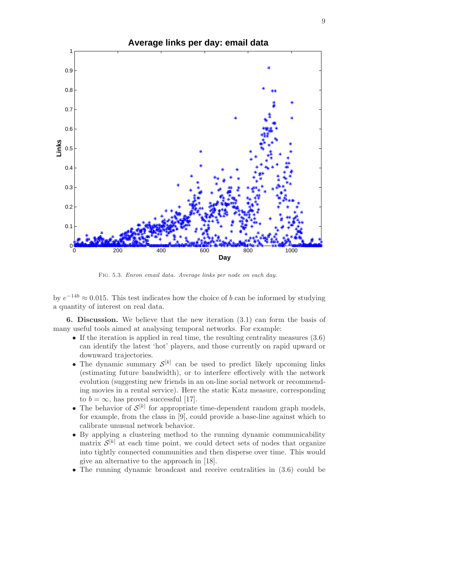

Fig. 5.3. *Enron email data. Average links per node on each day.*

by  $e^{-14b} \approx 0.015$ . This test indicates how the choice of b can be informed by studying a quantity of interest on real data.

6. Discussion. We believe that the new iteration (3.1) can form the basis of many useful tools aimed at analysing temporal networks. For example:

- If the iteration is applied in real time, the resulting centrality measures  $(3.6)$ can identify the latest 'hot' players, and those currently on rapid upward or downward trajectories.
- The dynamic summary  $\mathcal{S}^{[k]}$  can be used to predict likely upcoming links (estimating future bandwidth), or to interfere effectively with the network evolution (suggesting new friends in an on-line social network or recommending movies in a rental service). Here the static Katz measure, corresponding to  $b = \infty$ , has proved successful [17].
- The behavior of  $\mathcal{S}^{[k]}$  for appropriate time-dependent random graph models, for example, from the class in [9], could provide a base-line against which to calibrate unusual network behavior.
- By applying a clustering method to the running dynamic communicability matrix  $\mathcal{S}^{[k]}$  at each time point, we could detect sets of nodes that organize into tightly connected communities and then disperse over time. This would give an alternative to the approach in [18].
- The running dynamic broadcast and receive centralities in (3.6) could be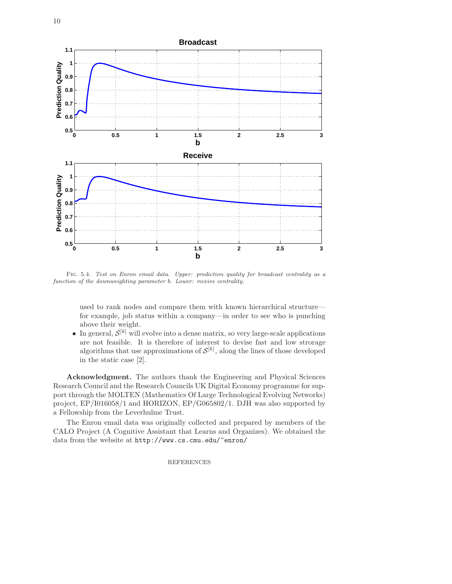

Fig. 5.4. *Test on Enron email data. Upper: prediction quality for broadcast centrality as a function of the downweighting parameter* b*. Lower: receive centrality.*

used to rank nodes and compare them with known hierarchical structure for example, job status within a company—in order to see who is punching above their weight.

• In general,  $\mathcal{S}^{[k]}$  will evolve into a dense matrix, so very large-scale applications are not feasible. It is therefore of interest to devise fast and low strorage algorithms that use approximations of  $\mathcal{S}^{[k]}$ , along the lines of those developed in the static case [2].

Acknowledgment. The authors thank the Engineering and Physical Sciences Research Council and the Research Councils UK Digital Economy programme for support through the MOLTEN (Mathematics Of Large Technological Evolving Networks) project, EP/I016058/1 and HORIZON, EP/G065802/1. DJH was also supported by a Fellowship from the Leverhulme Trust.

The Enron email data was originally collected and prepared by members of the CALO Project (A Cognitive Assistant that Learns and Organizes). We obtained the data from the website at http://www.cs.cmu.edu/~enron/

REFERENCES